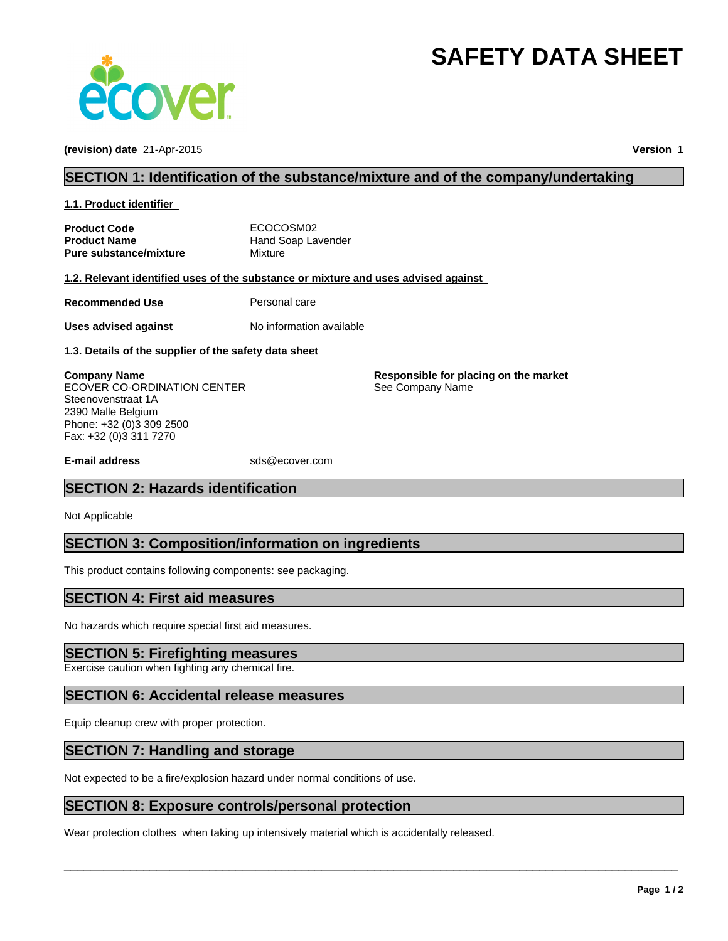# **SAFETY DATA SHEET**



**(revision) date** 21-Apr-2015 **Version** 1

## **SECTION 1: Identification of the substance/mixture and of the company/undertaking**

**1.1. Product identifier** 

| <b>Product Code</b>           | ECOCOSM02          |
|-------------------------------|--------------------|
| <b>Product Name</b>           | Hand Soap Lavender |
| <b>Pure substance/mixture</b> | Mixture            |

**1.2. Relevant identified uses of the substance or mixture and uses advised against** 

**Recommended Use** Personal care

**Uses advised against** No information available

**1.3. Details of the supplier of the safety data sheet** 

**Company Name** ECOVER CO-ORDINATION CENTER Steenovenstraat 1A 2390 Malle Belgium Phone: +32 (0)3 309 2500 Fax: +32 (0)3 311 7270

**E-mail address** sds@ecover.com

# **SECTION 2: Hazards identification**

Not Applicable

# **SECTION 3: Composition/information on ingredients**

This product contains following components: see packaging.

## **SECTION 4: First aid measures**

No hazards which require special first aid measures.

#### **SECTION 5: Firefighting measures**

Exercise caution when fighting any chemical fire.

## **SECTION 6: Accidental release measures**

Equip cleanup crew with proper protection.

#### **SECTION 7: Handling and storage**

Not expected to be a fire/explosion hazard under normal conditions of use.

#### **SECTION 8: Exposure controls/personal protection**

Wear protection clothes when taking up intensively material which is accidentally released.

 $\overline{\phantom{a}}$  ,  $\overline{\phantom{a}}$  ,  $\overline{\phantom{a}}$  ,  $\overline{\phantom{a}}$  ,  $\overline{\phantom{a}}$  ,  $\overline{\phantom{a}}$  ,  $\overline{\phantom{a}}$  ,  $\overline{\phantom{a}}$  ,  $\overline{\phantom{a}}$  ,  $\overline{\phantom{a}}$  ,  $\overline{\phantom{a}}$  ,  $\overline{\phantom{a}}$  ,  $\overline{\phantom{a}}$  ,  $\overline{\phantom{a}}$  ,  $\overline{\phantom{a}}$  ,  $\overline{\phantom{a}}$ 

**Responsible for placing on the market**

See Company Name